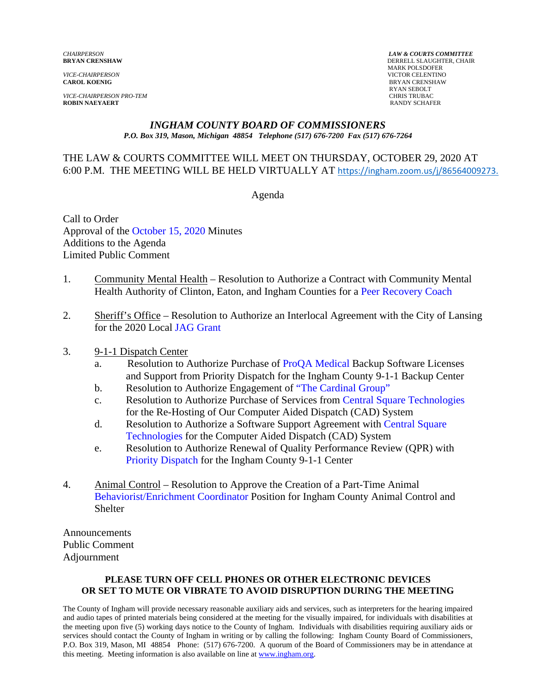*VICE-CHAIRPERSON PRO-TEM*<br> **ROBIN NAEYAERT**<br>
RANDY SCHAF

*CHAIRPERSON LAW & COURTS COMMITTEE* **DERRELL SLAUGHTER, CHAIR**  MARK POLSDOFER *VICE-CHAIRPERSON* VICTOR CELENTINO **CAROL KOENIG** BRYAN CRENSHAW RYAN SEBOLT **RANDY SCHAFER** 

#### *INGHAM COUNTY BOARD OF COMMISSIONERS P.O. Box 319, Mason, Michigan 48854 Telephone (517) 676-7200 Fax (517) 676-7264*

#### THE LAW & COURTS COMMITTEE WILL MEET ON THURSDAY, OCTOBER 29, 2020 AT 6:00 P.M. THE MEETING WILL BE HELD VIRTUALLY AT [https://ingham.zoom.us/j/86564009273.](https://ingham.zoom.us/j/86564009273)

Agenda

Call to Order Approval of [the October 15, 2020](#page-1-0) Minutes Additions to the Agenda Limited Public Comment

- 1. Community Mental Health Resolution to Authorize a Contract with Community Mental Health Authority of Clinton, Eaton, and Ingham Counties [for a Peer Recovery Coach](#page-12-0)
- 2. Sheriff's Office Resolution to Authorize an Interlocal Agreement with the City of Lansing for the 2020 Lo[cal JAG Grant](#page-15-0)
- 3. 9-1-1 Dispatch Center
	- a. Resolution to Authorize Purchase of [ProQA Medical Backup](#page-17-0) Software Licenses and Support from Priority Dispatch for the Ingham County 9-1-1 Backup Center
	- b. Resolution to Authorize Engagement o[f "The Cardinal Group"](#page-19-0)
	- c. Resolution to Authorize Purchase of Services fro[m Central Square Technologies](#page-21-0) for the Re-Hosting of Our Computer Aided Dispatch (CAD) System
	- d. Resolution to Authorize a Software Support Agreement with Central Square [Technologies for the Computer](#page-23-0) Aided Dispatch (CAD) System
	- e. Resolution to Authorize Renewal of Quality Performance Review (QPR) with [Priority Dispatch for the Ing](#page-25-0)ham County 9-1-1 Center
- 4. Animal Control Resolution to Approve the Creation of a Part-Time Animal [Behaviorist/Enrichment Coordinator](#page-27-0) Position for Ingham County Animal Control and **Shelter**

Announcements Public Comment Adjournment

#### **PLEASE TURN OFF CELL PHONES OR OTHER ELECTRONIC DEVICES OR SET TO MUTE OR VIBRATE TO AVOID DISRUPTION DURING THE MEETING**

The County of Ingham will provide necessary reasonable auxiliary aids and services, such as interpreters for the hearing impaired and audio tapes of printed materials being considered at the meeting for the visually impaired, for individuals with disabilities at the meeting upon five (5) working days notice to the County of Ingham. Individuals with disabilities requiring auxiliary aids or services should contact the County of Ingham in writing or by calling the following: Ingham County Board of Commissioners, P.O. Box 319, Mason, MI 48854 Phone: (517) 676-7200. A quorum of the Board of Commissioners may be in attendance at this meeting. Meeting information is also available on line at www.ingham.org.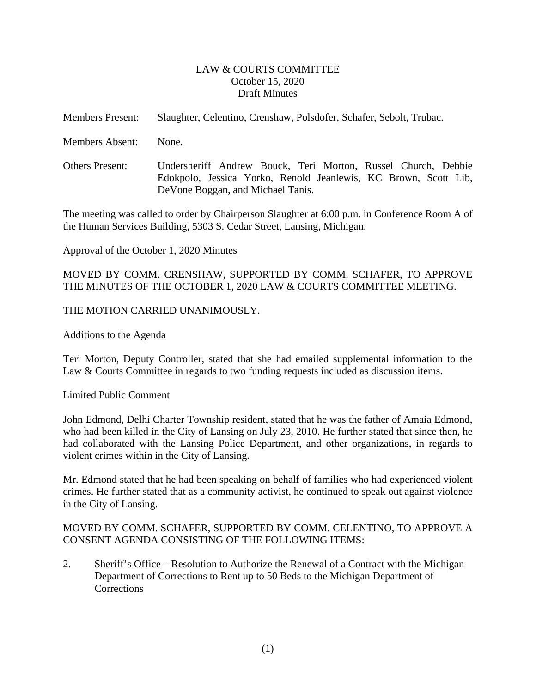#### LAW & COURTS COMMITTEE October 15, 2020 Draft Minutes

<span id="page-1-0"></span>

| <b>Members Present:</b> | Slaughter, Celentino, Crenshaw, Polsdofer, Schafer, Sebolt, Trubac.                                                                                                    |
|-------------------------|------------------------------------------------------------------------------------------------------------------------------------------------------------------------|
| <b>Members Absent:</b>  | None.                                                                                                                                                                  |
| <b>Others Present:</b>  | Undersheriff Andrew Bouck, Teri Morton, Russel Church, Debbie<br>Edokpolo, Jessica Yorko, Renold Jeanlewis, KC Brown, Scott Lib,<br>De Vone Boggan, and Michael Tanis. |

The meeting was called to order by Chairperson Slaughter at 6:00 p.m. in Conference Room A of the Human Services Building, 5303 S. Cedar Street, Lansing, Michigan.

#### Approval of the October 1, 2020 Minutes

### MOVED BY COMM. CRENSHAW, SUPPORTED BY COMM. SCHAFER, TO APPROVE THE MINUTES OF THE OCTOBER 1, 2020 LAW & COURTS COMMITTEE MEETING.

#### THE MOTION CARRIED UNANIMOUSLY.

#### Additions to the Agenda

Teri Morton, Deputy Controller, stated that she had emailed supplemental information to the Law & Courts Committee in regards to two funding requests included as discussion items.

#### Limited Public Comment

John Edmond, Delhi Charter Township resident, stated that he was the father of Amaia Edmond, who had been killed in the City of Lansing on July 23, 2010. He further stated that since then, he had collaborated with the Lansing Police Department, and other organizations, in regards to violent crimes within in the City of Lansing.

Mr. Edmond stated that he had been speaking on behalf of families who had experienced violent crimes. He further stated that as a community activist, he continued to speak out against violence in the City of Lansing.

### MOVED BY COMM. SCHAFER, SUPPORTED BY COMM. CELENTINO, TO APPROVE A CONSENT AGENDA CONSISTING OF THE FOLLOWING ITEMS:

2. Sheriff's Office – Resolution to Authorize the Renewal of a Contract with the Michigan Department of Corrections to Rent up to 50 Beds to the Michigan Department of **Corrections**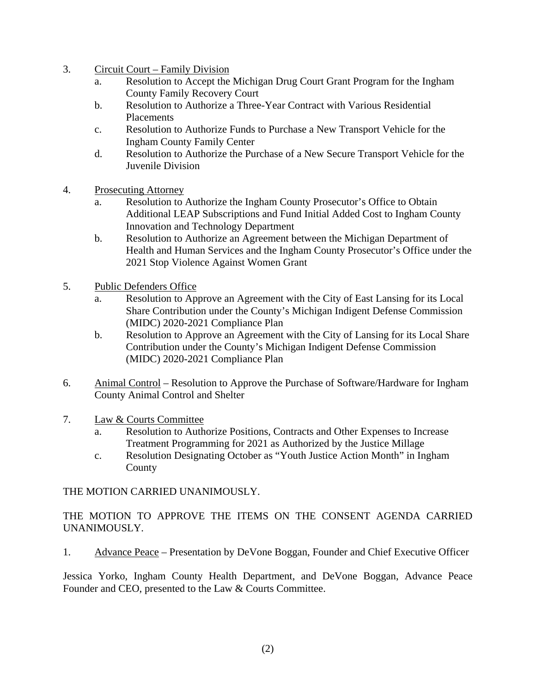- 3. Circuit Court Family Division
	- a. Resolution to Accept the Michigan Drug Court Grant Program for the Ingham County Family Recovery Court
	- b. Resolution to Authorize a Three-Year Contract with Various Residential **Placements**
	- c. Resolution to Authorize Funds to Purchase a New Transport Vehicle for the Ingham County Family Center
	- d. Resolution to Authorize the Purchase of a New Secure Transport Vehicle for the Juvenile Division
- 4. Prosecuting Attorney
	- a. Resolution to Authorize the Ingham County Prosecutor's Office to Obtain Additional LEAP Subscriptions and Fund Initial Added Cost to Ingham County Innovation and Technology Department
	- b. Resolution to Authorize an Agreement between the Michigan Department of Health and Human Services and the Ingham County Prosecutor's Office under the 2021 Stop Violence Against Women Grant
- 5. Public Defenders Office
	- a. Resolution to Approve an Agreement with the City of East Lansing for its Local Share Contribution under the County's Michigan Indigent Defense Commission (MIDC) 2020-2021 Compliance Plan
	- b. Resolution to Approve an Agreement with the City of Lansing for its Local Share Contribution under the County's Michigan Indigent Defense Commission (MIDC) 2020-2021 Compliance Plan
- 6. Animal Control Resolution to Approve the Purchase of Software/Hardware for Ingham County Animal Control and Shelter

## 7. Law & Courts Committee

- a. Resolution to Authorize Positions, Contracts and Other Expenses to Increase Treatment Programming for 2021 as Authorized by the Justice Millage
- c. Resolution Designating October as "Youth Justice Action Month" in Ingham County

# THE MOTION CARRIED UNANIMOUSLY.

# THE MOTION TO APPROVE THE ITEMS ON THE CONSENT AGENDA CARRIED UNANIMOUSLY.

1. Advance Peace – Presentation by DeVone Boggan, Founder and Chief Executive Officer

Jessica Yorko, Ingham County Health Department, and DeVone Boggan, Advance Peace Founder and CEO, presented to the Law & Courts Committee.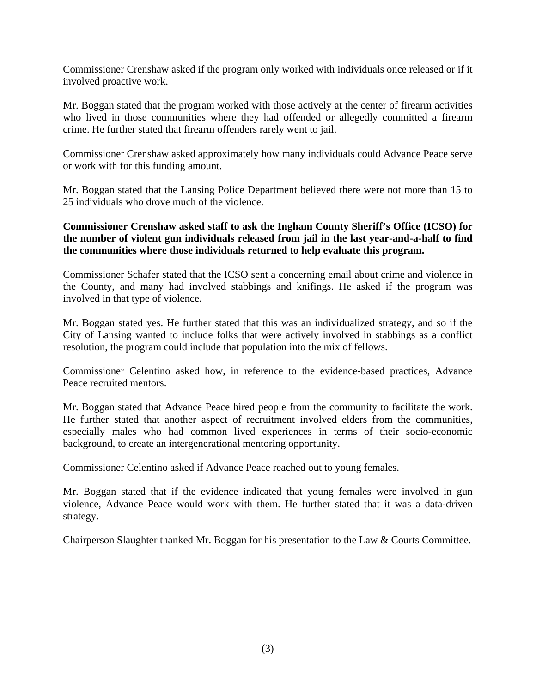Commissioner Crenshaw asked if the program only worked with individuals once released or if it involved proactive work.

Mr. Boggan stated that the program worked with those actively at the center of firearm activities who lived in those communities where they had offended or allegedly committed a firearm crime. He further stated that firearm offenders rarely went to jail.

Commissioner Crenshaw asked approximately how many individuals could Advance Peace serve or work with for this funding amount.

Mr. Boggan stated that the Lansing Police Department believed there were not more than 15 to 25 individuals who drove much of the violence.

**Commissioner Crenshaw asked staff to ask the Ingham County Sheriff's Office (ICSO) for the number of violent gun individuals released from jail in the last year-and-a-half to find the communities where those individuals returned to help evaluate this program.** 

Commissioner Schafer stated that the ICSO sent a concerning email about crime and violence in the County, and many had involved stabbings and knifings. He asked if the program was involved in that type of violence.

Mr. Boggan stated yes. He further stated that this was an individualized strategy, and so if the City of Lansing wanted to include folks that were actively involved in stabbings as a conflict resolution, the program could include that population into the mix of fellows.

Commissioner Celentino asked how, in reference to the evidence-based practices, Advance Peace recruited mentors.

Mr. Boggan stated that Advance Peace hired people from the community to facilitate the work. He further stated that another aspect of recruitment involved elders from the communities, especially males who had common lived experiences in terms of their socio-economic background, to create an intergenerational mentoring opportunity.

Commissioner Celentino asked if Advance Peace reached out to young females.

Mr. Boggan stated that if the evidence indicated that young females were involved in gun violence, Advance Peace would work with them. He further stated that it was a data-driven strategy.

Chairperson Slaughter thanked Mr. Boggan for his presentation to the Law & Courts Committee.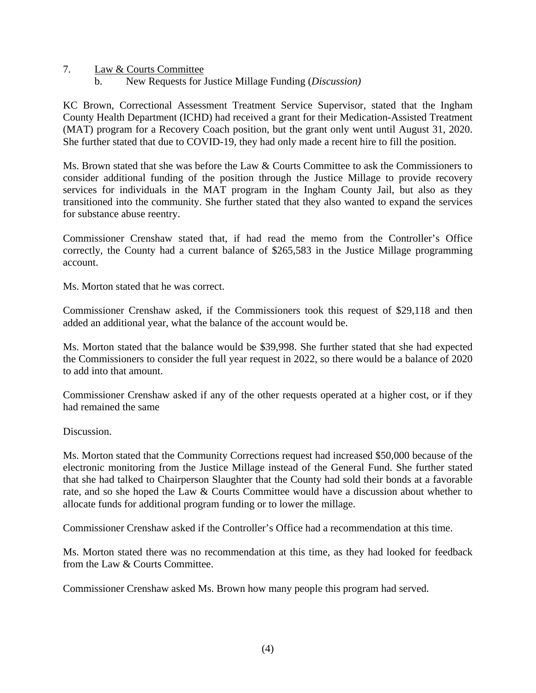- 7. Law & Courts Committee
	- b. New Requests for Justice Millage Funding (*Discussion)*

KC Brown, Correctional Assessment Treatment Service Supervisor, stated that the Ingham County Health Department (ICHD) had received a grant for their Medication-Assisted Treatment (MAT) program for a Recovery Coach position, but the grant only went until August 31, 2020. She further stated that due to COVID-19, they had only made a recent hire to fill the position.

Ms. Brown stated that she was before the Law & Courts Committee to ask the Commissioners to consider additional funding of the position through the Justice Millage to provide recovery services for individuals in the MAT program in the Ingham County Jail, but also as they transitioned into the community. She further stated that they also wanted to expand the services for substance abuse reentry.

Commissioner Crenshaw stated that, if had read the memo from the Controller's Office correctly, the County had a current balance of \$265,583 in the Justice Millage programming account.

Ms. Morton stated that he was correct.

Commissioner Crenshaw asked, if the Commissioners took this request of \$29,118 and then added an additional year, what the balance of the account would be.

Ms. Morton stated that the balance would be \$39,998. She further stated that she had expected the Commissioners to consider the full year request in 2022, so there would be a balance of 2020 to add into that amount.

Commissioner Crenshaw asked if any of the other requests operated at a higher cost, or if they had remained the same

#### Discussion.

Ms. Morton stated that the Community Corrections request had increased \$50,000 because of the electronic monitoring from the Justice Millage instead of the General Fund. She further stated that she had talked to Chairperson Slaughter that the County had sold their bonds at a favorable rate, and so she hoped the Law & Courts Committee would have a discussion about whether to allocate funds for additional program funding or to lower the millage.

Commissioner Crenshaw asked if the Controller's Office had a recommendation at this time.

Ms. Morton stated there was no recommendation at this time, as they had looked for feedback from the Law & Courts Committee.

Commissioner Crenshaw asked Ms. Brown how many people this program had served.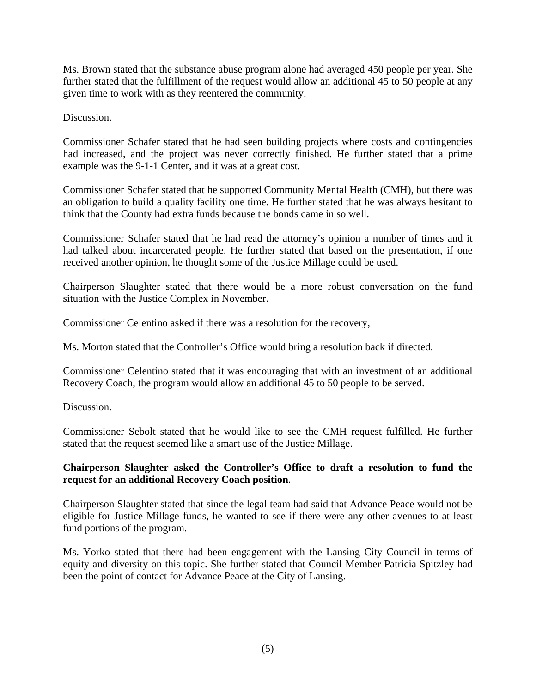Ms. Brown stated that the substance abuse program alone had averaged 450 people per year. She further stated that the fulfillment of the request would allow an additional 45 to 50 people at any given time to work with as they reentered the community.

Discussion.

Commissioner Schafer stated that he had seen building projects where costs and contingencies had increased, and the project was never correctly finished. He further stated that a prime example was the 9-1-1 Center, and it was at a great cost.

Commissioner Schafer stated that he supported Community Mental Health (CMH), but there was an obligation to build a quality facility one time. He further stated that he was always hesitant to think that the County had extra funds because the bonds came in so well.

Commissioner Schafer stated that he had read the attorney's opinion a number of times and it had talked about incarcerated people. He further stated that based on the presentation, if one received another opinion, he thought some of the Justice Millage could be used.

Chairperson Slaughter stated that there would be a more robust conversation on the fund situation with the Justice Complex in November.

Commissioner Celentino asked if there was a resolution for the recovery,

Ms. Morton stated that the Controller's Office would bring a resolution back if directed.

Commissioner Celentino stated that it was encouraging that with an investment of an additional Recovery Coach, the program would allow an additional 45 to 50 people to be served.

Discussion.

Commissioner Sebolt stated that he would like to see the CMH request fulfilled. He further stated that the request seemed like a smart use of the Justice Millage.

### **Chairperson Slaughter asked the Controller's Office to draft a resolution to fund the request for an additional Recovery Coach position**.

Chairperson Slaughter stated that since the legal team had said that Advance Peace would not be eligible for Justice Millage funds, he wanted to see if there were any other avenues to at least fund portions of the program.

Ms. Yorko stated that there had been engagement with the Lansing City Council in terms of equity and diversity on this topic. She further stated that Council Member Patricia Spitzley had been the point of contact for Advance Peace at the City of Lansing.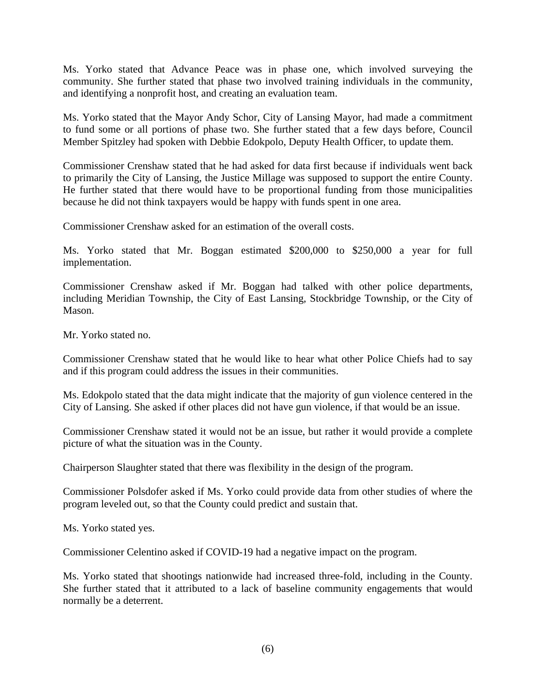Ms. Yorko stated that Advance Peace was in phase one, which involved surveying the community. She further stated that phase two involved training individuals in the community, and identifying a nonprofit host, and creating an evaluation team.

Ms. Yorko stated that the Mayor Andy Schor, City of Lansing Mayor, had made a commitment to fund some or all portions of phase two. She further stated that a few days before, Council Member Spitzley had spoken with Debbie Edokpolo, Deputy Health Officer, to update them.

Commissioner Crenshaw stated that he had asked for data first because if individuals went back to primarily the City of Lansing, the Justice Millage was supposed to support the entire County. He further stated that there would have to be proportional funding from those municipalities because he did not think taxpayers would be happy with funds spent in one area.

Commissioner Crenshaw asked for an estimation of the overall costs.

Ms. Yorko stated that Mr. Boggan estimated \$200,000 to \$250,000 a year for full implementation.

Commissioner Crenshaw asked if Mr. Boggan had talked with other police departments, including Meridian Township, the City of East Lansing, Stockbridge Township, or the City of Mason.

Mr. Yorko stated no.

Commissioner Crenshaw stated that he would like to hear what other Police Chiefs had to say and if this program could address the issues in their communities.

Ms. Edokpolo stated that the data might indicate that the majority of gun violence centered in the City of Lansing. She asked if other places did not have gun violence, if that would be an issue.

Commissioner Crenshaw stated it would not be an issue, but rather it would provide a complete picture of what the situation was in the County.

Chairperson Slaughter stated that there was flexibility in the design of the program.

Commissioner Polsdofer asked if Ms. Yorko could provide data from other studies of where the program leveled out, so that the County could predict and sustain that.

Ms. Yorko stated yes.

Commissioner Celentino asked if COVID-19 had a negative impact on the program.

Ms. Yorko stated that shootings nationwide had increased three-fold, including in the County. She further stated that it attributed to a lack of baseline community engagements that would normally be a deterrent.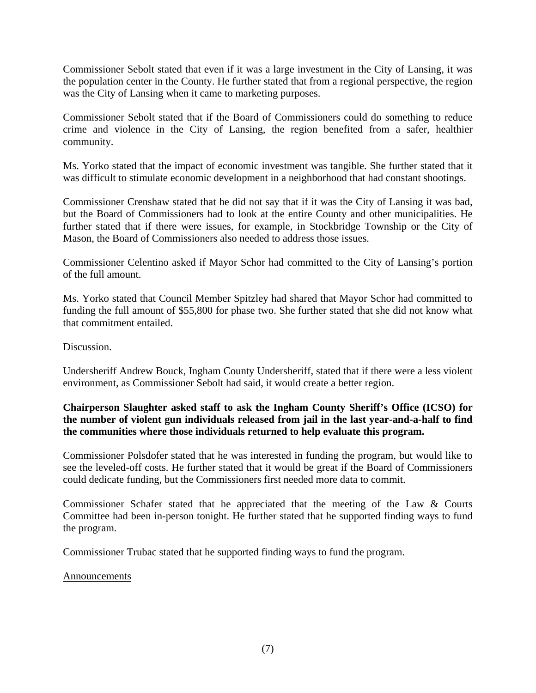Commissioner Sebolt stated that even if it was a large investment in the City of Lansing, it was the population center in the County. He further stated that from a regional perspective, the region was the City of Lansing when it came to marketing purposes.

Commissioner Sebolt stated that if the Board of Commissioners could do something to reduce crime and violence in the City of Lansing, the region benefited from a safer, healthier community.

Ms. Yorko stated that the impact of economic investment was tangible. She further stated that it was difficult to stimulate economic development in a neighborhood that had constant shootings.

Commissioner Crenshaw stated that he did not say that if it was the City of Lansing it was bad, but the Board of Commissioners had to look at the entire County and other municipalities. He further stated that if there were issues, for example, in Stockbridge Township or the City of Mason, the Board of Commissioners also needed to address those issues.

Commissioner Celentino asked if Mayor Schor had committed to the City of Lansing's portion of the full amount.

Ms. Yorko stated that Council Member Spitzley had shared that Mayor Schor had committed to funding the full amount of \$55,800 for phase two. She further stated that she did not know what that commitment entailed.

Discussion.

Undersheriff Andrew Bouck, Ingham County Undersheriff, stated that if there were a less violent environment, as Commissioner Sebolt had said, it would create a better region.

## **Chairperson Slaughter asked staff to ask the Ingham County Sheriff's Office (ICSO) for the number of violent gun individuals released from jail in the last year-and-a-half to find the communities where those individuals returned to help evaluate this program.**

Commissioner Polsdofer stated that he was interested in funding the program, but would like to see the leveled-off costs. He further stated that it would be great if the Board of Commissioners could dedicate funding, but the Commissioners first needed more data to commit.

Commissioner Schafer stated that he appreciated that the meeting of the Law & Courts Committee had been in-person tonight. He further stated that he supported finding ways to fund the program.

Commissioner Trubac stated that he supported finding ways to fund the program.

#### Announcements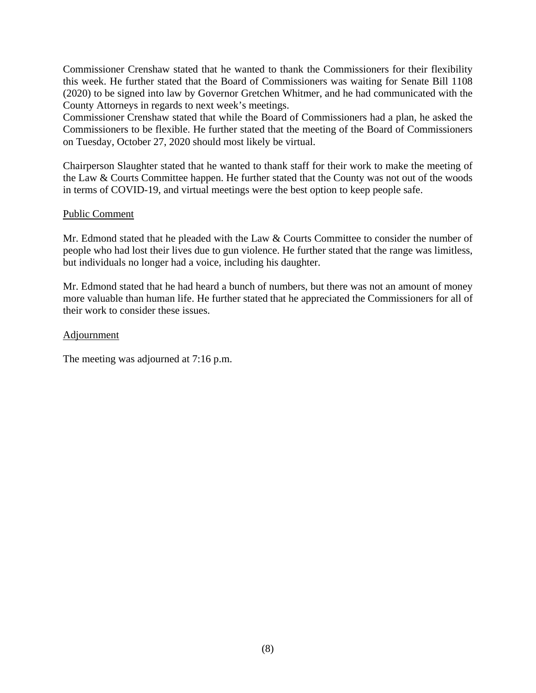Commissioner Crenshaw stated that he wanted to thank the Commissioners for their flexibility this week. He further stated that the Board of Commissioners was waiting for Senate Bill 1108 (2020) to be signed into law by Governor Gretchen Whitmer, and he had communicated with the County Attorneys in regards to next week's meetings.

Commissioner Crenshaw stated that while the Board of Commissioners had a plan, he asked the Commissioners to be flexible. He further stated that the meeting of the Board of Commissioners on Tuesday, October 27, 2020 should most likely be virtual.

Chairperson Slaughter stated that he wanted to thank staff for their work to make the meeting of the Law & Courts Committee happen. He further stated that the County was not out of the woods in terms of COVID-19, and virtual meetings were the best option to keep people safe.

#### Public Comment

Mr. Edmond stated that he pleaded with the Law & Courts Committee to consider the number of people who had lost their lives due to gun violence. He further stated that the range was limitless, but individuals no longer had a voice, including his daughter.

Mr. Edmond stated that he had heard a bunch of numbers, but there was not an amount of money more valuable than human life. He further stated that he appreciated the Commissioners for all of their work to consider these issues.

#### **Adjournment**

The meeting was adjourned at 7:16 p.m.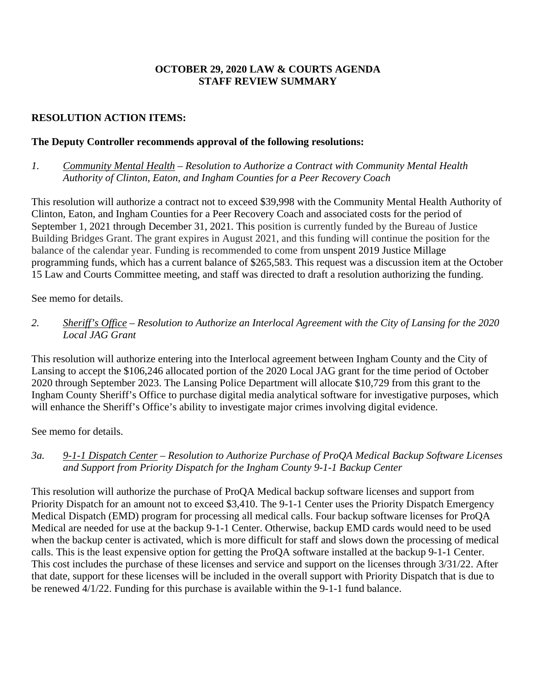## **OCTOBER 29, 2020 LAW & COURTS AGENDA STAFF REVIEW SUMMARY**

# **RESOLUTION ACTION ITEMS:**

# **The Deputy Controller recommends approval of the following resolutions:**

## *1. Community Mental Health* – *Resolution to Authorize a Contract with Community Mental Health Authority of Clinton, Eaton, and Ingham Counties for a Peer Recovery Coach*

This resolution will authorize a contract not to exceed \$39,998 with the Community Mental Health Authority of Clinton, Eaton, and Ingham Counties for a Peer Recovery Coach and associated costs for the period of September 1, 2021 through December 31, 2021. This position is currently funded by the Bureau of Justice Building Bridges Grant. The grant expires in August 2021, and this funding will continue the position for the balance of the calendar year. Funding is recommended to come from unspent 2019 Justice Millage programming funds, which has a current balance of \$265,583. This request was a discussion item at the October 15 Law and Courts Committee meeting, and staff was directed to draft a resolution authorizing the funding.

See memo for details.

# *2. Sheriff's Office – Resolution to Authorize an Interlocal Agreement with the City of Lansing for the 2020 Local JAG Grant*

This resolution will authorize entering into the Interlocal agreement between Ingham County and the City of Lansing to accept the \$106,246 allocated portion of the 2020 Local JAG grant for the time period of October 2020 through September 2023. The Lansing Police Department will allocate \$10,729 from this grant to the Ingham County Sheriff's Office to purchase digital media analytical software for investigative purposes, which will enhance the Sheriff's Office's ability to investigate major crimes involving digital evidence.

See memo for details.

## *3a. 9-1-1 Dispatch Center – Resolution to Authorize Purchase of ProQA Medical Backup Software Licenses and Support from Priority Dispatch for the Ingham County 9-1-1 Backup Center*

This resolution will authorize the purchase of ProQA Medical backup software licenses and support from Priority Dispatch for an amount not to exceed \$3,410. The 9-1-1 Center uses the Priority Dispatch Emergency Medical Dispatch (EMD) program for processing all medical calls. Four backup software licenses for ProQA Medical are needed for use at the backup 9-1-1 Center. Otherwise, backup EMD cards would need to be used when the backup center is activated, which is more difficult for staff and slows down the processing of medical calls. This is the least expensive option for getting the ProQA software installed at the backup 9-1-1 Center. This cost includes the purchase of these licenses and service and support on the licenses through 3/31/22. After that date, support for these licenses will be included in the overall support with Priority Dispatch that is due to be renewed 4/1/22. Funding for this purchase is available within the 9-1-1 fund balance.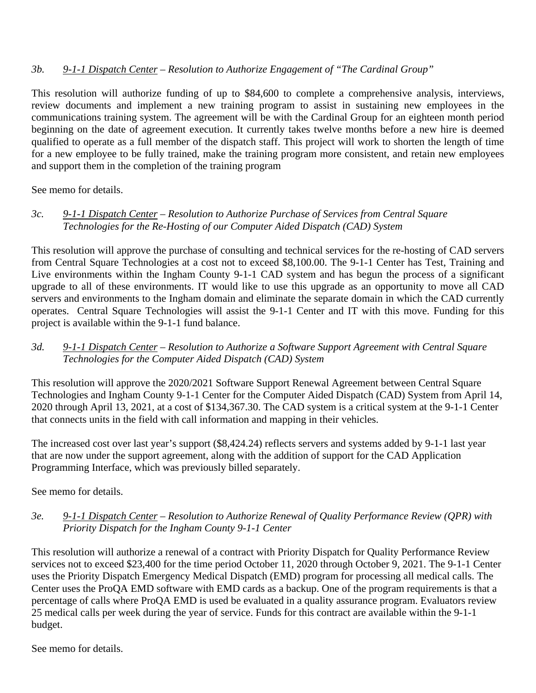# *3b. 9-1-1 Dispatch Center* – *Resolution to Authorize Engagement of "The Cardinal Group"*

This resolution will authorize funding of up to \$84,600 to complete a comprehensive analysis, interviews, review documents and implement a new training program to assist in sustaining new employees in the communications training system. The agreement will be with the Cardinal Group for an eighteen month period beginning on the date of agreement execution. It currently takes twelve months before a new hire is deemed qualified to operate as a full member of the dispatch staff. This project will work to shorten the length of time for a new employee to be fully trained, make the training program more consistent, and retain new employees and support them in the completion of the training program

See memo for details.

## *3c. 9-1-1 Dispatch Center* – *Resolution to Authorize Purchase of Services from Central Square Technologies for the Re-Hosting of our Computer Aided Dispatch (CAD) System*

This resolution will approve the purchase of consulting and technical services for the re-hosting of CAD servers from Central Square Technologies at a cost not to exceed \$8,100.00. The 9-1-1 Center has Test, Training and Live environments within the Ingham County 9-1-1 CAD system and has begun the process of a significant upgrade to all of these environments. IT would like to use this upgrade as an opportunity to move all CAD servers and environments to the Ingham domain and eliminate the separate domain in which the CAD currently operates. Central Square Technologies will assist the 9-1-1 Center and IT with this move. Funding for this project is available within the 9-1-1 fund balance.

## *3d. 9-1-1 Dispatch Center* – *Resolution to Authorize a Software Support Agreement with Central Square Technologies for the Computer Aided Dispatch (CAD) System*

This resolution will approve the 2020/2021 Software Support Renewal Agreement between Central Square Technologies and Ingham County 9-1-1 Center for the Computer Aided Dispatch (CAD) System from April 14, 2020 through April 13, 2021, at a cost of \$134,367.30. The CAD system is a critical system at the 9-1-1 Center that connects units in the field with call information and mapping in their vehicles.

The increased cost over last year's support (\$8,424.24) reflects servers and systems added by 9-1-1 last year that are now under the support agreement, along with the addition of support for the CAD Application Programming Interface, which was previously billed separately.

See memo for details.

## *3e. 9-1-1 Dispatch Center – Resolution to Authorize Renewal of Quality Performance Review (QPR) with Priority Dispatch for the Ingham County 9-1-1 Center*

This resolution will authorize a renewal of a contract with Priority Dispatch for Quality Performance Review services not to exceed \$23,400 for the time period October 11, 2020 through October 9, 2021. The 9-1-1 Center uses the Priority Dispatch Emergency Medical Dispatch (EMD) program for processing all medical calls. The Center uses the ProQA EMD software with EMD cards as a backup. One of the program requirements is that a percentage of calls where ProQA EMD is used be evaluated in a quality assurance program. Evaluators review 25 medical calls per week during the year of service. Funds for this contract are available within the 9-1-1 budget.

See memo for details.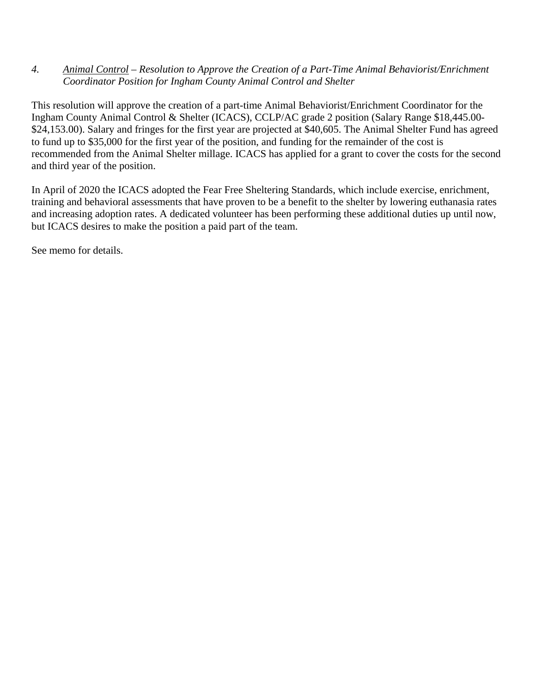### *4. Animal Control – Resolution to Approve the Creation of a Part-Time Animal Behaviorist/Enrichment Coordinator Position for Ingham County Animal Control and Shelter*

This resolution will approve the creation of a part-time Animal Behaviorist/Enrichment Coordinator for the Ingham County Animal Control & Shelter (ICACS), CCLP/AC grade 2 position (Salary Range \$18,445.00- \$24,153.00). Salary and fringes for the first year are projected at \$40,605. The Animal Shelter Fund has agreed to fund up to \$35,000 for the first year of the position, and funding for the remainder of the cost is recommended from the Animal Shelter millage. ICACS has applied for a grant to cover the costs for the second and third year of the position.

In April of 2020 the ICACS adopted the Fear Free Sheltering Standards, which include exercise, enrichment, training and behavioral assessments that have proven to be a benefit to the shelter by lowering euthanasia rates and increasing adoption rates. A dedicated volunteer has been performing these additional duties up until now, but ICACS desires to make the position a paid part of the team.

See memo for details.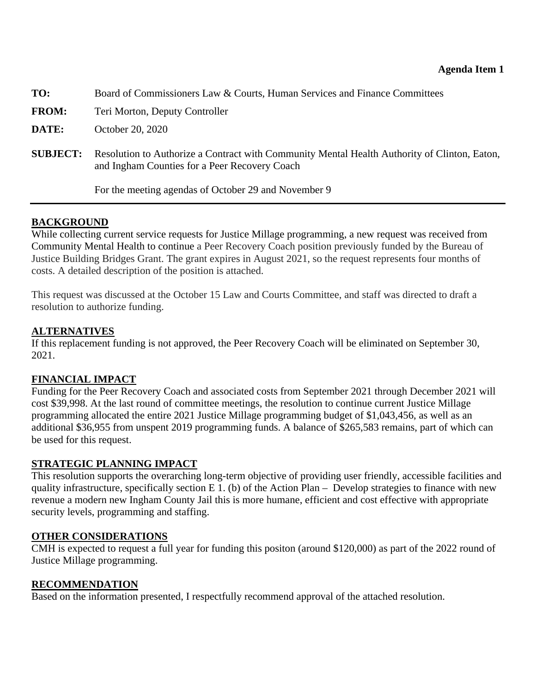<span id="page-12-0"></span>

| TO:             | Board of Commissioners Law & Courts, Human Services and Finance Committees                                                                    |
|-----------------|-----------------------------------------------------------------------------------------------------------------------------------------------|
| <b>FROM:</b>    | Teri Morton, Deputy Controller                                                                                                                |
| DATE:           | October 20, 2020                                                                                                                              |
| <b>SUBJECT:</b> | Resolution to Authorize a Contract with Community Mental Health Authority of Clinton, Eaton,<br>and Ingham Counties for a Peer Recovery Coach |
|                 | For the meeting agendas of October 29 and November 9                                                                                          |

# **BACKGROUND**

While collecting current service requests for Justice Millage programming, a new request was received from Community Mental Health to continue a Peer Recovery Coach position previously funded by the Bureau of Justice Building Bridges Grant. The grant expires in August 2021, so the request represents four months of costs. A detailed description of the position is attached.

This request was discussed at the October 15 Law and Courts Committee, and staff was directed to draft a resolution to authorize funding.

# **ALTERNATIVES**

If this replacement funding is not approved, the Peer Recovery Coach will be eliminated on September 30, 2021.

# **FINANCIAL IMPACT**

Funding for the Peer Recovery Coach and associated costs from September 2021 through December 2021 will cost \$39,998. At the last round of committee meetings, the resolution to continue current Justice Millage programming allocated the entire 2021 Justice Millage programming budget of \$1,043,456, as well as an additional \$36,955 from unspent 2019 programming funds. A balance of \$265,583 remains, part of which can be used for this request.

# **STRATEGIC PLANNING IMPACT**

This resolution supports the overarching long-term objective of providing user friendly, accessible facilities and quality infrastructure, specifically section E 1. (b) of the Action Plan – Develop strategies to finance with new revenue a modern new Ingham County Jail this is more humane, efficient and cost effective with appropriate security levels, programming and staffing.

## **OTHER CONSIDERATIONS**

CMH is expected to request a full year for funding this positon (around \$120,000) as part of the 2022 round of Justice Millage programming.

## **RECOMMENDATION**

Based on the information presented, I respectfully recommend approval of the attached resolution.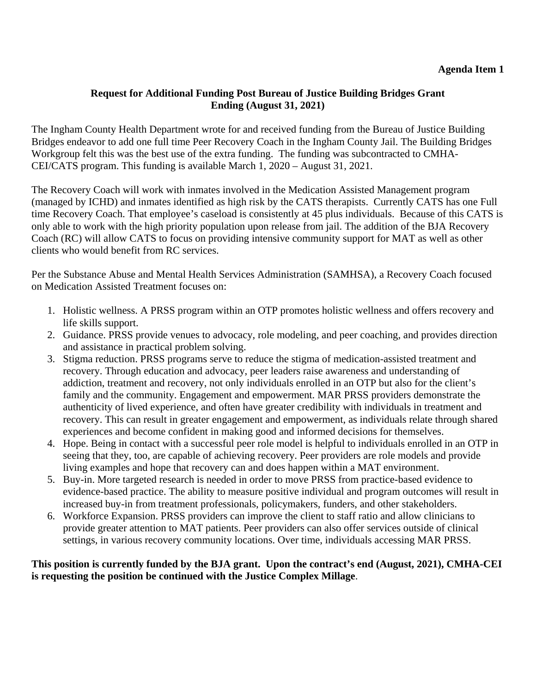## **Request for Additional Funding Post Bureau of Justice Building Bridges Grant Ending (August 31, 2021)**

The Ingham County Health Department wrote for and received funding from the Bureau of Justice Building Bridges endeavor to add one full time Peer Recovery Coach in the Ingham County Jail. The Building Bridges Workgroup felt this was the best use of the extra funding. The funding was subcontracted to CMHA-CEI/CATS program. This funding is available March 1, 2020 – August 31, 2021.

The Recovery Coach will work with inmates involved in the Medication Assisted Management program (managed by ICHD) and inmates identified as high risk by the CATS therapists. Currently CATS has one Full time Recovery Coach. That employee's caseload is consistently at 45 plus individuals. Because of this CATS is only able to work with the high priority population upon release from jail. The addition of the BJA Recovery Coach (RC) will allow CATS to focus on providing intensive community support for MAT as well as other clients who would benefit from RC services.

Per the Substance Abuse and Mental Health Services Administration (SAMHSA), a Recovery Coach focused on Medication Assisted Treatment focuses on:

- 1. Holistic wellness. A PRSS program within an OTP promotes holistic wellness and offers recovery and life skills support.
- 2. Guidance. PRSS provide venues to advocacy, role modeling, and peer coaching, and provides direction and assistance in practical problem solving.
- 3. Stigma reduction. PRSS programs serve to reduce the stigma of medication-assisted treatment and recovery. Through education and advocacy, peer leaders raise awareness and understanding of addiction, treatment and recovery, not only individuals enrolled in an OTP but also for the client's family and the community. Engagement and empowerment. MAR PRSS providers demonstrate the authenticity of lived experience, and often have greater credibility with individuals in treatment and recovery. This can result in greater engagement and empowerment, as individuals relate through shared experiences and become confident in making good and informed decisions for themselves.
- 4. Hope. Being in contact with a successful peer role model is helpful to individuals enrolled in an OTP in seeing that they, too, are capable of achieving recovery. Peer providers are role models and provide living examples and hope that recovery can and does happen within a MAT environment.
- 5. Buy-in. More targeted research is needed in order to move PRSS from practice-based evidence to evidence-based practice. The ability to measure positive individual and program outcomes will result in increased buy-in from treatment professionals, policymakers, funders, and other stakeholders.
- 6. Workforce Expansion. PRSS providers can improve the client to staff ratio and allow clinicians to provide greater attention to MAT patients. Peer providers can also offer services outside of clinical settings, in various recovery community locations. Over time, individuals accessing MAR PRSS.

## **This position is currently funded by the BJA grant. Upon the contract's end (August, 2021), CMHA-CEI is requesting the position be continued with the Justice Complex Millage**.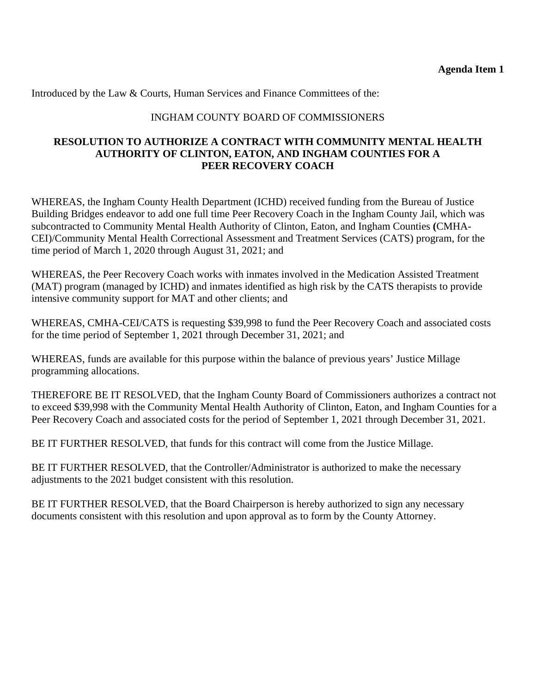Introduced by the Law & Courts, Human Services and Finance Committees of the:

### INGHAM COUNTY BOARD OF COMMISSIONERS

#### **RESOLUTION TO AUTHORIZE A CONTRACT WITH COMMUNITY MENTAL HEALTH AUTHORITY OF CLINTON, EATON, AND INGHAM COUNTIES FOR A PEER RECOVERY COACH**

WHEREAS, the Ingham County Health Department (ICHD) received funding from the Bureau of Justice Building Bridges endeavor to add one full time Peer Recovery Coach in the Ingham County Jail, which was subcontracted to Community Mental Health Authority of Clinton, Eaton, and Ingham Counties **(**CMHA-CEI)/Community Mental Health Correctional Assessment and Treatment Services (CATS) program, for the time period of March 1, 2020 through August 31, 2021; and

WHEREAS, the Peer Recovery Coach works with inmates involved in the Medication Assisted Treatment (MAT) program (managed by ICHD) and inmates identified as high risk by the CATS therapists to provide intensive community support for MAT and other clients; and

WHEREAS, CMHA-CEI/CATS is requesting \$39,998 to fund the Peer Recovery Coach and associated costs for the time period of September 1, 2021 through December 31, 2021; and

WHEREAS, funds are available for this purpose within the balance of previous years' Justice Millage programming allocations.

THEREFORE BE IT RESOLVED, that the Ingham County Board of Commissioners authorizes a contract not to exceed \$39,998 with the Community Mental Health Authority of Clinton, Eaton, and Ingham Counties for a Peer Recovery Coach and associated costs for the period of September 1, 2021 through December 31, 2021.

BE IT FURTHER RESOLVED, that funds for this contract will come from the Justice Millage.

BE IT FURTHER RESOLVED, that the Controller/Administrator is authorized to make the necessary adjustments to the 2021 budget consistent with this resolution.

BE IT FURTHER RESOLVED, that the Board Chairperson is hereby authorized to sign any necessary documents consistent with this resolution and upon approval as to form by the County Attorney.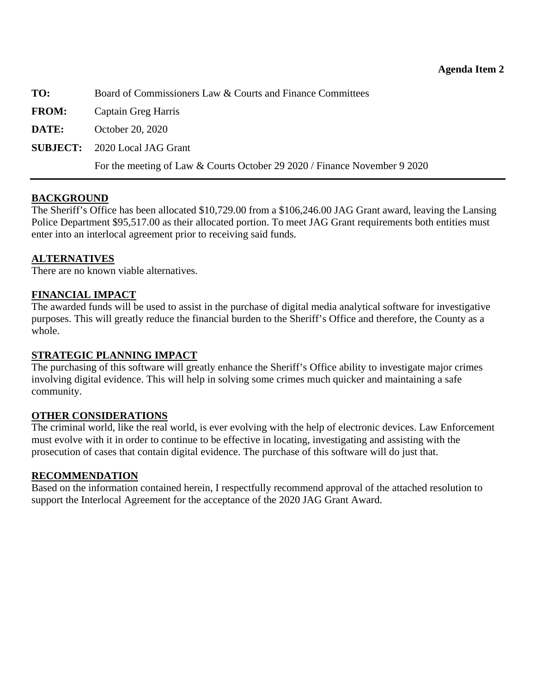<span id="page-15-0"></span>**TO:** Board of Commissioners Law & Courts and Finance Committees

**FROM:** Captain Greg Harris

**DATE:** October 20, 2020

**SUBJECT:** 2020 Local JAG Grant

For the meeting of Law & Courts October 29 2020 / Finance November 9 2020

## **BACKGROUND**

The Sheriff's Office has been allocated \$10,729.00 from a \$106,246.00 JAG Grant award, leaving the Lansing Police Department \$95,517.00 as their allocated portion. To meet JAG Grant requirements both entities must enter into an interlocal agreement prior to receiving said funds.

### **ALTERNATIVES**

There are no known viable alternatives.

### **FINANCIAL IMPACT**

The awarded funds will be used to assist in the purchase of digital media analytical software for investigative purposes. This will greatly reduce the financial burden to the Sheriff's Office and therefore, the County as a whole.

#### **STRATEGIC PLANNING IMPACT**

The purchasing of this software will greatly enhance the Sheriff's Office ability to investigate major crimes involving digital evidence. This will help in solving some crimes much quicker and maintaining a safe community.

#### **OTHER CONSIDERATIONS**

The criminal world, like the real world, is ever evolving with the help of electronic devices. Law Enforcement must evolve with it in order to continue to be effective in locating, investigating and assisting with the prosecution of cases that contain digital evidence. The purchase of this software will do just that.

#### **RECOMMENDATION**

Based on the information contained herein, I respectfully recommend approval of the attached resolution to support the Interlocal Agreement for the acceptance of the 2020 JAG Grant Award.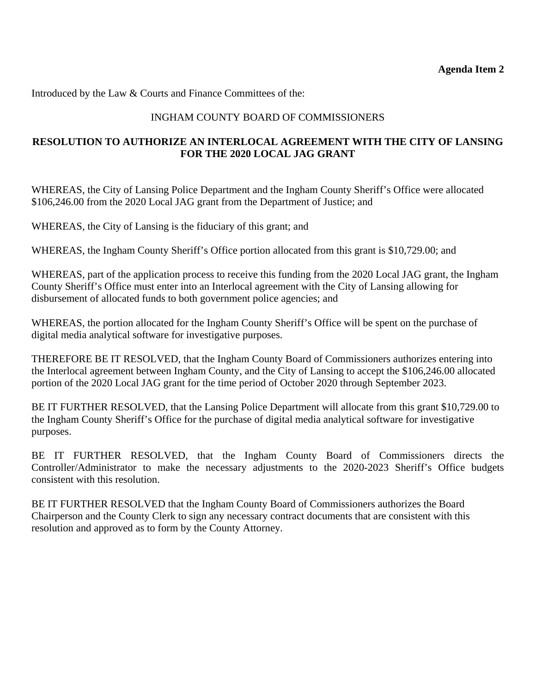Introduced by the Law & Courts and Finance Committees of the:

# INGHAM COUNTY BOARD OF COMMISSIONERS

# **RESOLUTION TO AUTHORIZE AN INTERLOCAL AGREEMENT WITH THE CITY OF LANSING FOR THE 2020 LOCAL JAG GRANT**

WHEREAS, the City of Lansing Police Department and the Ingham County Sheriff's Office were allocated \$106,246.00 from the 2020 Local JAG grant from the Department of Justice; and

WHEREAS, the City of Lansing is the fiduciary of this grant; and

WHEREAS, the Ingham County Sheriff's Office portion allocated from this grant is \$10,729.00; and

WHEREAS, part of the application process to receive this funding from the 2020 Local JAG grant, the Ingham County Sheriff's Office must enter into an Interlocal agreement with the City of Lansing allowing for disbursement of allocated funds to both government police agencies; and

WHEREAS, the portion allocated for the Ingham County Sheriff's Office will be spent on the purchase of digital media analytical software for investigative purposes.

THEREFORE BE IT RESOLVED, that the Ingham County Board of Commissioners authorizes entering into the Interlocal agreement between Ingham County, and the City of Lansing to accept the \$106,246.00 allocated portion of the 2020 Local JAG grant for the time period of October 2020 through September 2023.

BE IT FURTHER RESOLVED, that the Lansing Police Department will allocate from this grant \$10,729.00 to the Ingham County Sheriff's Office for the purchase of digital media analytical software for investigative purposes.

BE IT FURTHER RESOLVED, that the Ingham County Board of Commissioners directs the Controller/Administrator to make the necessary adjustments to the 2020-2023 Sheriff's Office budgets consistent with this resolution.

BE IT FURTHER RESOLVED that the Ingham County Board of Commissioners authorizes the Board Chairperson and the County Clerk to sign any necessary contract documents that are consistent with this resolution and approved as to form by the County Attorney.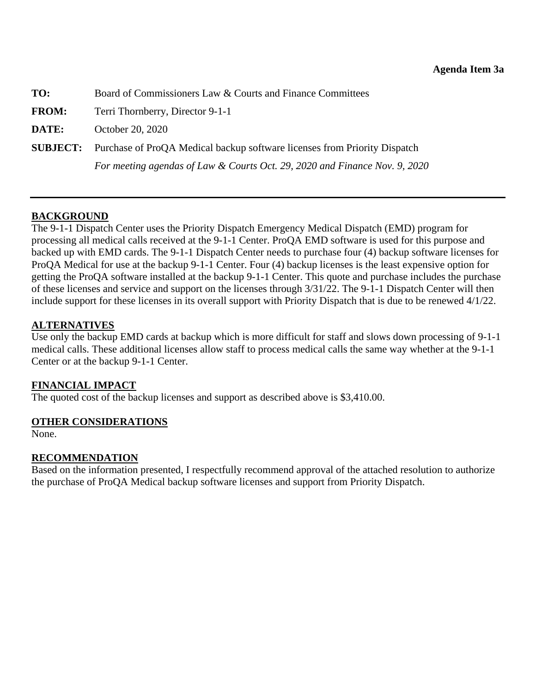<span id="page-17-0"></span>**TO:** Board of Commissioners Law & Courts and Finance Committees

**FROM:** Terri Thornberry, Director 9-1-1

**DATE:** October 20, 2020

**SUBJECT:** Purchase of ProQA Medical backup software licenses from Priority Dispatch

*For meeting agendas of Law & Courts Oct. 29, 2020 and Finance Nov. 9, 2020* 

## **BACKGROUND**

The 9-1-1 Dispatch Center uses the Priority Dispatch Emergency Medical Dispatch (EMD) program for processing all medical calls received at the 9-1-1 Center. ProQA EMD software is used for this purpose and backed up with EMD cards. The 9-1-1 Dispatch Center needs to purchase four (4) backup software licenses for ProQA Medical for use at the backup 9-1-1 Center. Four (4) backup licenses is the least expensive option for getting the ProQA software installed at the backup 9-1-1 Center. This quote and purchase includes the purchase of these licenses and service and support on the licenses through 3/31/22. The 9-1-1 Dispatch Center will then include support for these licenses in its overall support with Priority Dispatch that is due to be renewed 4/1/22.

## **ALTERNATIVES**

Use only the backup EMD cards at backup which is more difficult for staff and slows down processing of 9-1-1 medical calls. These additional licenses allow staff to process medical calls the same way whether at the 9-1-1 Center or at the backup 9-1-1 Center.

## **FINANCIAL IMPACT**

The quoted cost of the backup licenses and support as described above is \$3,410.00.

## **OTHER CONSIDERATIONS**

None.

## **RECOMMENDATION**

Based on the information presented, I respectfully recommend approval of the attached resolution to authorize the purchase of ProQA Medical backup software licenses and support from Priority Dispatch.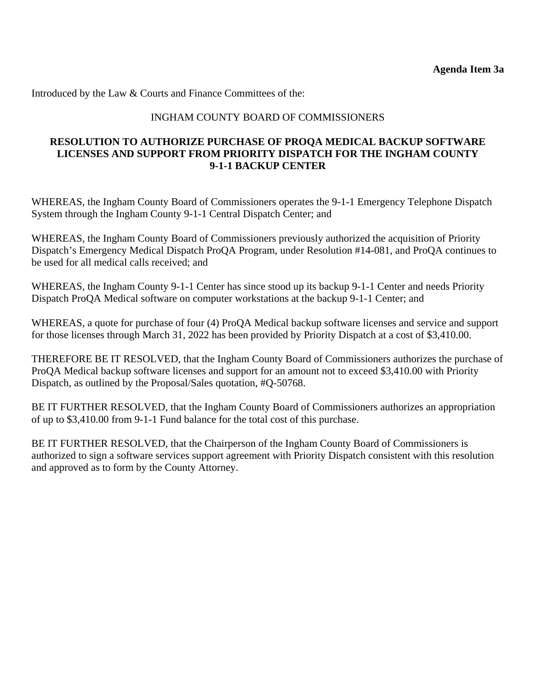Introduced by the Law & Courts and Finance Committees of the:

### INGHAM COUNTY BOARD OF COMMISSIONERS

### **RESOLUTION TO AUTHORIZE PURCHASE OF PROQA MEDICAL BACKUP SOFTWARE LICENSES AND SUPPORT FROM PRIORITY DISPATCH FOR THE INGHAM COUNTY 9-1-1 BACKUP CENTER**

WHEREAS, the Ingham County Board of Commissioners operates the 9-1-1 Emergency Telephone Dispatch System through the Ingham County 9-1-1 Central Dispatch Center; and

WHEREAS, the Ingham County Board of Commissioners previously authorized the acquisition of Priority Dispatch's Emergency Medical Dispatch ProQA Program, under Resolution #14-081, and ProQA continues to be used for all medical calls received; and

WHEREAS, the Ingham County 9-1-1 Center has since stood up its backup 9-1-1 Center and needs Priority Dispatch ProQA Medical software on computer workstations at the backup 9-1-1 Center; and

WHEREAS, a quote for purchase of four (4) ProQA Medical backup software licenses and service and support for those licenses through March 31, 2022 has been provided by Priority Dispatch at a cost of \$3,410.00.

THEREFORE BE IT RESOLVED, that the Ingham County Board of Commissioners authorizes the purchase of ProQA Medical backup software licenses and support for an amount not to exceed \$3,410.00 with Priority Dispatch, as outlined by the Proposal/Sales quotation, #Q-50768.

BE IT FURTHER RESOLVED, that the Ingham County Board of Commissioners authorizes an appropriation of up to \$3,410.00 from 9-1-1 Fund balance for the total cost of this purchase.

BE IT FURTHER RESOLVED, that the Chairperson of the Ingham County Board of Commissioners is authorized to sign a software services support agreement with Priority Dispatch consistent with this resolution and approved as to form by the County Attorney.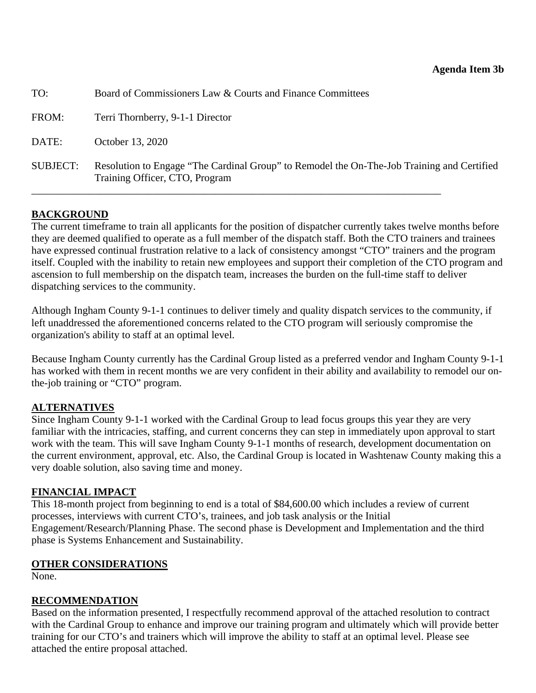<span id="page-19-0"></span>

| TO:      | Board of Commissioners Law & Courts and Finance Committees                                                                   |
|----------|------------------------------------------------------------------------------------------------------------------------------|
| FROM:    | Terri Thornberry, 9-1-1 Director                                                                                             |
| DATE:    | October 13, 2020                                                                                                             |
| SUBJECT: | Resolution to Engage "The Cardinal Group" to Remodel the On-The-Job Training and Certified<br>Training Officer, CTO, Program |

# **BACKGROUND**

The current timeframe to train all applicants for the position of dispatcher currently takes twelve months before they are deemed qualified to operate as a full member of the dispatch staff. Both the CTO trainers and trainees have expressed continual frustration relative to a lack of consistency amongst "CTO" trainers and the program itself. Coupled with the inability to retain new employees and support their completion of the CTO program and ascension to full membership on the dispatch team, increases the burden on the full-time staff to deliver dispatching services to the community.

Although Ingham County 9-1-1 continues to deliver timely and quality dispatch services to the community, if left unaddressed the aforementioned concerns related to the CTO program will seriously compromise the organization's ability to staff at an optimal level.

Because Ingham County currently has the Cardinal Group listed as a preferred vendor and Ingham County 9-1-1 has worked with them in recent months we are very confident in their ability and availability to remodel our onthe-job training or "CTO" program.

## **ALTERNATIVES**

Since Ingham County 9-1-1 worked with the Cardinal Group to lead focus groups this year they are very familiar with the intricacies, staffing, and current concerns they can step in immediately upon approval to start work with the team. This will save Ingham County 9-1-1 months of research, development documentation on the current environment, approval, etc. Also, the Cardinal Group is located in Washtenaw County making this a very doable solution, also saving time and money.

## **FINANCIAL IMPACT**

This 18-month project from beginning to end is a total of \$84,600.00 which includes a review of current processes, interviews with current CTO's, trainees, and job task analysis or the Initial Engagement/Research/Planning Phase. The second phase is Development and Implementation and the third phase is Systems Enhancement and Sustainability.

## **OTHER CONSIDERATIONS**

None.

## **RECOMMENDATION**

Based on the information presented, I respectfully recommend approval of the attached resolution to contract with the Cardinal Group to enhance and improve our training program and ultimately which will provide better training for our CTO's and trainers which will improve the ability to staff at an optimal level. Please see attached the entire proposal attached.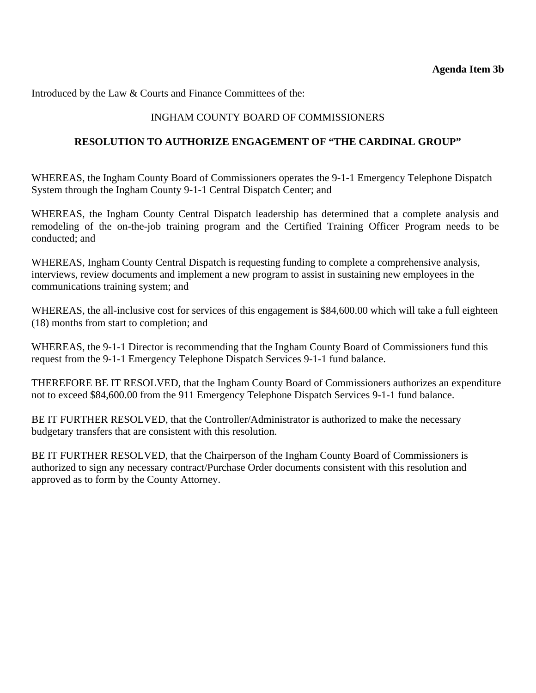Introduced by the Law & Courts and Finance Committees of the:

# INGHAM COUNTY BOARD OF COMMISSIONERS

### **RESOLUTION TO AUTHORIZE ENGAGEMENT OF "THE CARDINAL GROUP"**

WHEREAS, the Ingham County Board of Commissioners operates the 9-1-1 Emergency Telephone Dispatch System through the Ingham County 9-1-1 Central Dispatch Center; and

WHEREAS, the Ingham County Central Dispatch leadership has determined that a complete analysis and remodeling of the on-the-job training program and the Certified Training Officer Program needs to be conducted; and

WHEREAS, Ingham County Central Dispatch is requesting funding to complete a comprehensive analysis, interviews, review documents and implement a new program to assist in sustaining new employees in the communications training system; and

WHEREAS, the all-inclusive cost for services of this engagement is \$84,600.00 which will take a full eighteen (18) months from start to completion; and

WHEREAS, the 9-1-1 Director is recommending that the Ingham County Board of Commissioners fund this request from the 9-1-1 Emergency Telephone Dispatch Services 9-1-1 fund balance.

THEREFORE BE IT RESOLVED, that the Ingham County Board of Commissioners authorizes an expenditure not to exceed \$84,600.00 from the 911 Emergency Telephone Dispatch Services 9-1-1 fund balance.

BE IT FURTHER RESOLVED, that the Controller/Administrator is authorized to make the necessary budgetary transfers that are consistent with this resolution.

BE IT FURTHER RESOLVED, that the Chairperson of the Ingham County Board of Commissioners is authorized to sign any necessary contract/Purchase Order documents consistent with this resolution and approved as to form by the County Attorney.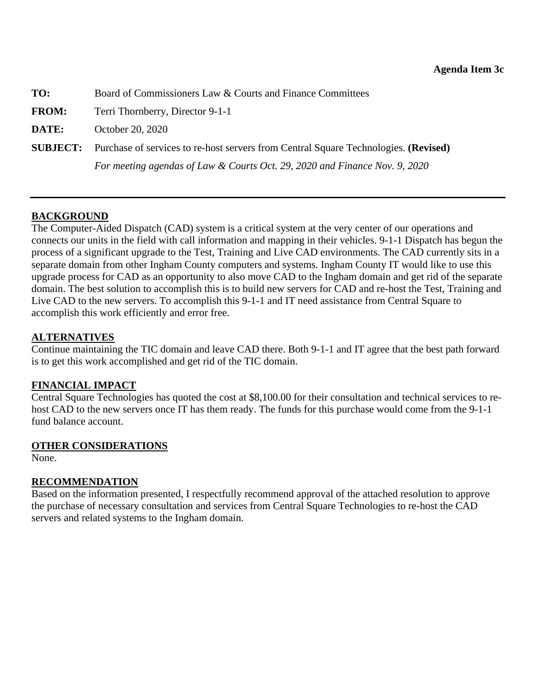<span id="page-21-0"></span>**TO:** Board of Commissioners Law & Courts and Finance Committees

**FROM:** Terri Thornberry, Director 9-1-1

**DATE:** October 20, 2020

**SUBJECT:** Purchase of services to re-host servers from Central Square Technologies. **(Revised)** *For meeting agendas of Law & Courts Oct. 29, 2020 and Finance Nov. 9, 2020* 

### **BACKGROUND**

The Computer-Aided Dispatch (CAD) system is a critical system at the very center of our operations and connects our units in the field with call information and mapping in their vehicles. 9-1-1 Dispatch has begun the process of a significant upgrade to the Test, Training and Live CAD environments. The CAD currently sits in a separate domain from other Ingham County computers and systems. Ingham County IT would like to use this upgrade process for CAD as an opportunity to also move CAD to the Ingham domain and get rid of the separate domain. The best solution to accomplish this is to build new servers for CAD and re-host the Test, Training and Live CAD to the new servers. To accomplish this 9-1-1 and IT need assistance from Central Square to accomplish this work efficiently and error free.

#### **ALTERNATIVES**

Continue maintaining the TIC domain and leave CAD there. Both 9-1-1 and IT agree that the best path forward is to get this work accomplished and get rid of the TIC domain.

#### **FINANCIAL IMPACT**

Central Square Technologies has quoted the cost at \$8,100.00 for their consultation and technical services to rehost CAD to the new servers once IT has them ready. The funds for this purchase would come from the 9-1-1 fund balance account.

#### **OTHER CONSIDERATIONS**

None.

#### **RECOMMENDATION**

Based on the information presented, I respectfully recommend approval of the attached resolution to approve the purchase of necessary consultation and services from Central Square Technologies to re-host the CAD servers and related systems to the Ingham domain.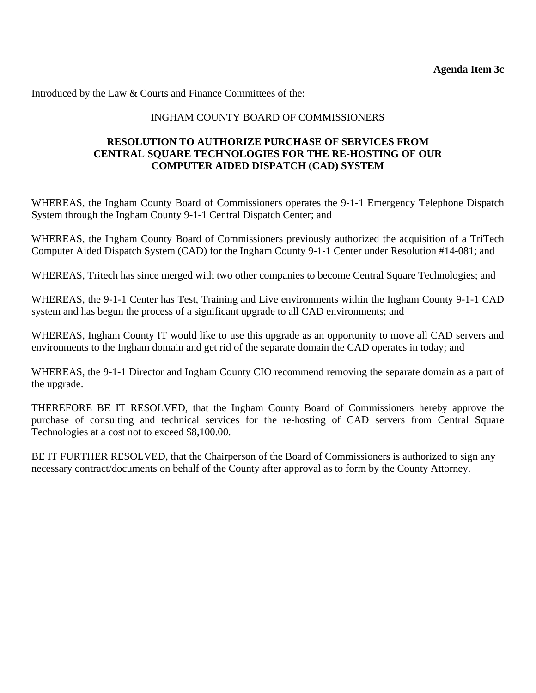Introduced by the Law & Courts and Finance Committees of the:

### INGHAM COUNTY BOARD OF COMMISSIONERS

### **RESOLUTION TO AUTHORIZE PURCHASE OF SERVICES FROM CENTRAL SQUARE TECHNOLOGIES FOR THE RE-HOSTING OF OUR COMPUTER AIDED DISPATCH** (**CAD) SYSTEM**

WHEREAS, the Ingham County Board of Commissioners operates the 9-1-1 Emergency Telephone Dispatch System through the Ingham County 9-1-1 Central Dispatch Center; and

WHEREAS, the Ingham County Board of Commissioners previously authorized the acquisition of a TriTech Computer Aided Dispatch System (CAD) for the Ingham County 9-1-1 Center under Resolution #14-081; and

WHEREAS, Tritech has since merged with two other companies to become Central Square Technologies; and

WHEREAS, the 9-1-1 Center has Test, Training and Live environments within the Ingham County 9-1-1 CAD system and has begun the process of a significant upgrade to all CAD environments; and

WHEREAS, Ingham County IT would like to use this upgrade as an opportunity to move all CAD servers and environments to the Ingham domain and get rid of the separate domain the CAD operates in today; and

WHEREAS, the 9-1-1 Director and Ingham County CIO recommend removing the separate domain as a part of the upgrade.

THEREFORE BE IT RESOLVED, that the Ingham County Board of Commissioners hereby approve the purchase of consulting and technical services for the re-hosting of CAD servers from Central Square Technologies at a cost not to exceed \$8,100.00.

BE IT FURTHER RESOLVED, that the Chairperson of the Board of Commissioners is authorized to sign any necessary contract/documents on behalf of the County after approval as to form by the County Attorney.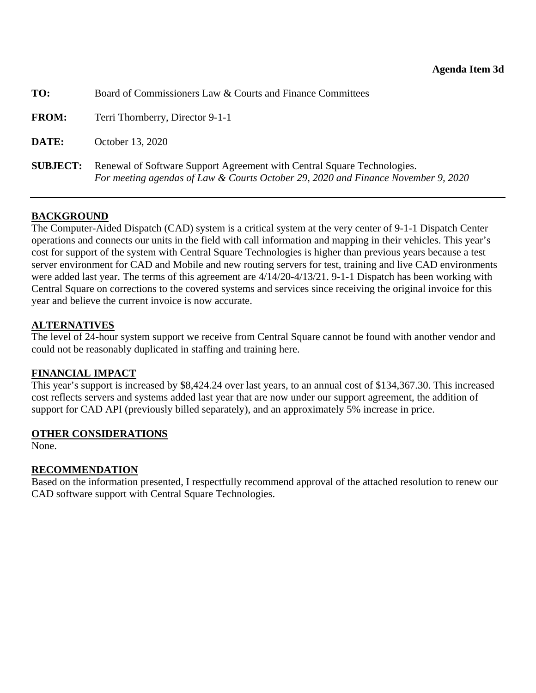<span id="page-23-0"></span>

| TO:             | Board of Commissioners Law & Courts and Finance Committees                                                                                                   |
|-----------------|--------------------------------------------------------------------------------------------------------------------------------------------------------------|
| <b>FROM:</b>    | Terri Thornberry, Director 9-1-1                                                                                                                             |
| DATE:           | October 13, 2020                                                                                                                                             |
| <b>SUBJECT:</b> | Renewal of Software Support Agreement with Central Square Technologies.<br>For meeting agendas of Law & Courts October 29, 2020 and Finance November 9, 2020 |

### **BACKGROUND**

The Computer-Aided Dispatch (CAD) system is a critical system at the very center of 9-1-1 Dispatch Center operations and connects our units in the field with call information and mapping in their vehicles. This year's cost for support of the system with Central Square Technologies is higher than previous years because a test server environment for CAD and Mobile and new routing servers for test, training and live CAD environments were added last year. The terms of this agreement are 4/14/20-4/13/21. 9-1-1 Dispatch has been working with Central Square on corrections to the covered systems and services since receiving the original invoice for this year and believe the current invoice is now accurate.

### **ALTERNATIVES**

The level of 24-hour system support we receive from Central Square cannot be found with another vendor and could not be reasonably duplicated in staffing and training here.

#### **FINANCIAL IMPACT**

This year's support is increased by \$8,424.24 over last years, to an annual cost of \$134,367.30. This increased cost reflects servers and systems added last year that are now under our support agreement, the addition of support for CAD API (previously billed separately), and an approximately 5% increase in price.

#### **OTHER CONSIDERATIONS**

None.

#### **RECOMMENDATION**

Based on the information presented, I respectfully recommend approval of the attached resolution to renew our CAD software support with Central Square Technologies.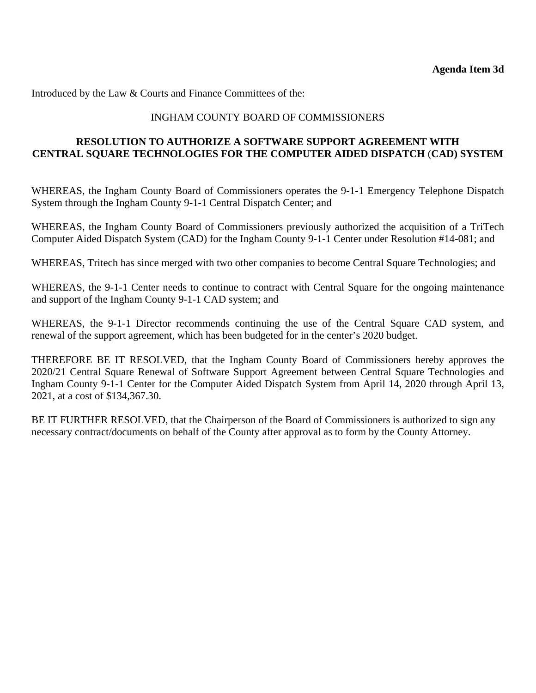Introduced by the Law & Courts and Finance Committees of the:

### INGHAM COUNTY BOARD OF COMMISSIONERS

## **RESOLUTION TO AUTHORIZE A SOFTWARE SUPPORT AGREEMENT WITH CENTRAL SQUARE TECHNOLOGIES FOR THE COMPUTER AIDED DISPATCH** (**CAD) SYSTEM**

WHEREAS, the Ingham County Board of Commissioners operates the 9-1-1 Emergency Telephone Dispatch System through the Ingham County 9-1-1 Central Dispatch Center; and

WHEREAS, the Ingham County Board of Commissioners previously authorized the acquisition of a TriTech Computer Aided Dispatch System (CAD) for the Ingham County 9-1-1 Center under Resolution #14-081; and

WHEREAS, Tritech has since merged with two other companies to become Central Square Technologies; and

WHEREAS, the 9-1-1 Center needs to continue to contract with Central Square for the ongoing maintenance and support of the Ingham County 9-1-1 CAD system; and

WHEREAS, the 9-1-1 Director recommends continuing the use of the Central Square CAD system, and renewal of the support agreement, which has been budgeted for in the center's 2020 budget.

THEREFORE BE IT RESOLVED, that the Ingham County Board of Commissioners hereby approves the 2020/21 Central Square Renewal of Software Support Agreement between Central Square Technologies and Ingham County 9-1-1 Center for the Computer Aided Dispatch System from April 14, 2020 through April 13, 2021, at a cost of \$134,367.30.

BE IT FURTHER RESOLVED, that the Chairperson of the Board of Commissioners is authorized to sign any necessary contract/documents on behalf of the County after approval as to form by the County Attorney.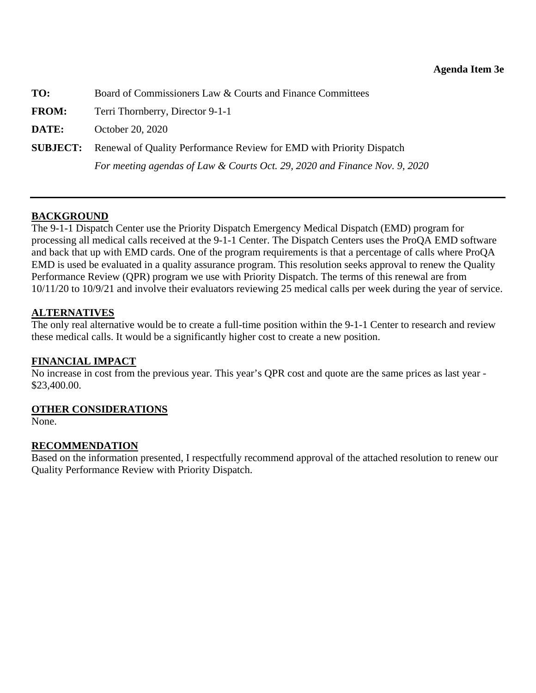<span id="page-25-0"></span>

| TO:          | Board of Commissioners Law & Courts and Finance Committees                           |
|--------------|--------------------------------------------------------------------------------------|
| <b>FROM:</b> | Terri Thornberry, Director 9-1-1                                                     |
| DATE:        | October 20, 2020                                                                     |
|              | <b>SUBJECT:</b> Renewal of Quality Performance Review for EMD with Priority Dispatch |
|              | For meeting agendas of Law & Courts Oct. 29, 2020 and Finance Nov. 9, 2020           |

## **BACKGROUND**

The 9-1-1 Dispatch Center use the Priority Dispatch Emergency Medical Dispatch (EMD) program for processing all medical calls received at the 9-1-1 Center. The Dispatch Centers uses the ProQA EMD software and back that up with EMD cards. One of the program requirements is that a percentage of calls where ProQA EMD is used be evaluated in a quality assurance program. This resolution seeks approval to renew the Quality Performance Review (QPR) program we use with Priority Dispatch. The terms of this renewal are from 10/11/20 to 10/9/21 and involve their evaluators reviewing 25 medical calls per week during the year of service.

## **ALTERNATIVES**

The only real alternative would be to create a full-time position within the 9-1-1 Center to research and review these medical calls. It would be a significantly higher cost to create a new position.

## **FINANCIAL IMPACT**

No increase in cost from the previous year. This year's QPR cost and quote are the same prices as last year - \$23,400.00.

## **OTHER CONSIDERATIONS**

None.

## **RECOMMENDATION**

Based on the information presented, I respectfully recommend approval of the attached resolution to renew our Quality Performance Review with Priority Dispatch.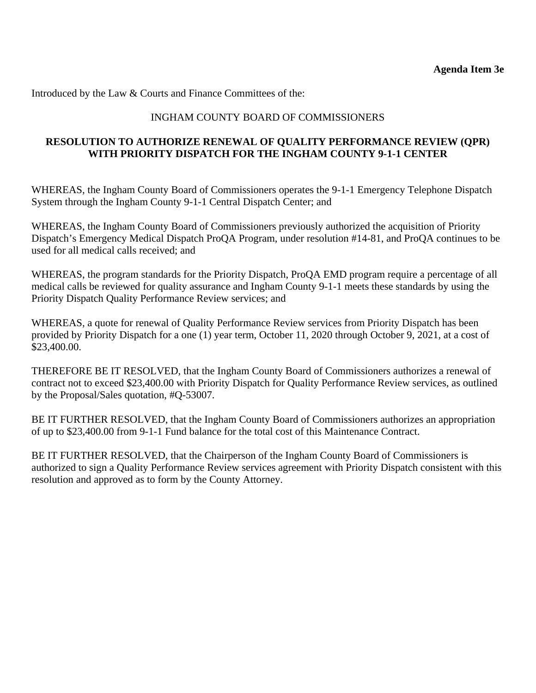Introduced by the Law & Courts and Finance Committees of the:

## INGHAM COUNTY BOARD OF COMMISSIONERS

### **RESOLUTION TO AUTHORIZE RENEWAL OF QUALITY PERFORMANCE REVIEW (QPR) WITH PRIORITY DISPATCH FOR THE INGHAM COUNTY 9-1-1 CENTER**

WHEREAS, the Ingham County Board of Commissioners operates the 9-1-1 Emergency Telephone Dispatch System through the Ingham County 9-1-1 Central Dispatch Center; and

WHEREAS, the Ingham County Board of Commissioners previously authorized the acquisition of Priority Dispatch's Emergency Medical Dispatch ProQA Program, under resolution #14-81, and ProQA continues to be used for all medical calls received; and

WHEREAS, the program standards for the Priority Dispatch, ProQA EMD program require a percentage of all medical calls be reviewed for quality assurance and Ingham County 9-1-1 meets these standards by using the Priority Dispatch Quality Performance Review services; and

WHEREAS, a quote for renewal of Quality Performance Review services from Priority Dispatch has been provided by Priority Dispatch for a one (1) year term, October 11, 2020 through October 9, 2021, at a cost of \$23,400.00.

THEREFORE BE IT RESOLVED, that the Ingham County Board of Commissioners authorizes a renewal of contract not to exceed \$23,400.00 with Priority Dispatch for Quality Performance Review services, as outlined by the Proposal/Sales quotation, #Q-53007.

BE IT FURTHER RESOLVED, that the Ingham County Board of Commissioners authorizes an appropriation of up to \$23,400.00 from 9-1-1 Fund balance for the total cost of this Maintenance Contract.

BE IT FURTHER RESOLVED, that the Chairperson of the Ingham County Board of Commissioners is authorized to sign a Quality Performance Review services agreement with Priority Dispatch consistent with this resolution and approved as to form by the County Attorney.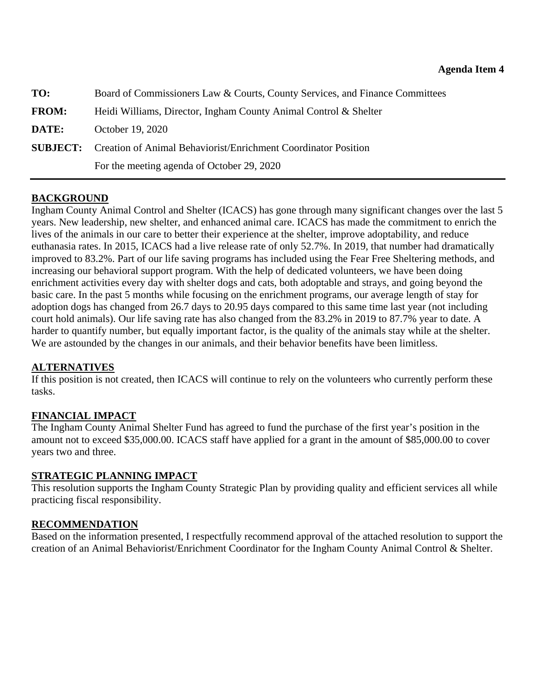<span id="page-27-0"></span>

| TO:          | Board of Commissioners Law & Courts, County Services, and Finance Committees   |
|--------------|--------------------------------------------------------------------------------|
| <b>FROM:</b> | Heidi Williams, Director, Ingham County Animal Control & Shelter               |
| DATE:        | October 19, 2020                                                               |
|              | <b>SUBJECT:</b> Creation of Animal Behaviorist/Enrichment Coordinator Position |
|              | For the meeting agenda of October 29, 2020                                     |

# **BACKGROUND**

Ingham County Animal Control and Shelter (ICACS) has gone through many significant changes over the last 5 years. New leadership, new shelter, and enhanced animal care. ICACS has made the commitment to enrich the lives of the animals in our care to better their experience at the shelter, improve adoptability, and reduce euthanasia rates. In 2015, ICACS had a live release rate of only 52.7%. In 2019, that number had dramatically improved to 83.2%. Part of our life saving programs has included using the Fear Free Sheltering methods, and increasing our behavioral support program. With the help of dedicated volunteers, we have been doing enrichment activities every day with shelter dogs and cats, both adoptable and strays, and going beyond the basic care. In the past 5 months while focusing on the enrichment programs, our average length of stay for adoption dogs has changed from 26.7 days to 20.95 days compared to this same time last year (not including court hold animals). Our life saving rate has also changed from the 83.2% in 2019 to 87.7% year to date. A harder to quantify number, but equally important factor, is the quality of the animals stay while at the shelter. We are astounded by the changes in our animals, and their behavior benefits have been limitless.

## **ALTERNATIVES**

If this position is not created, then ICACS will continue to rely on the volunteers who currently perform these tasks.

## **FINANCIAL IMPACT**

The Ingham County Animal Shelter Fund has agreed to fund the purchase of the first year's position in the amount not to exceed \$35,000.00. ICACS staff have applied for a grant in the amount of \$85,000.00 to cover years two and three.

## **STRATEGIC PLANNING IMPACT**

This resolution supports the Ingham County Strategic Plan by providing quality and efficient services all while practicing fiscal responsibility.

## **RECOMMENDATION**

Based on the information presented, I respectfully recommend approval of the attached resolution to support the creation of an Animal Behaviorist/Enrichment Coordinator for the Ingham County Animal Control & Shelter.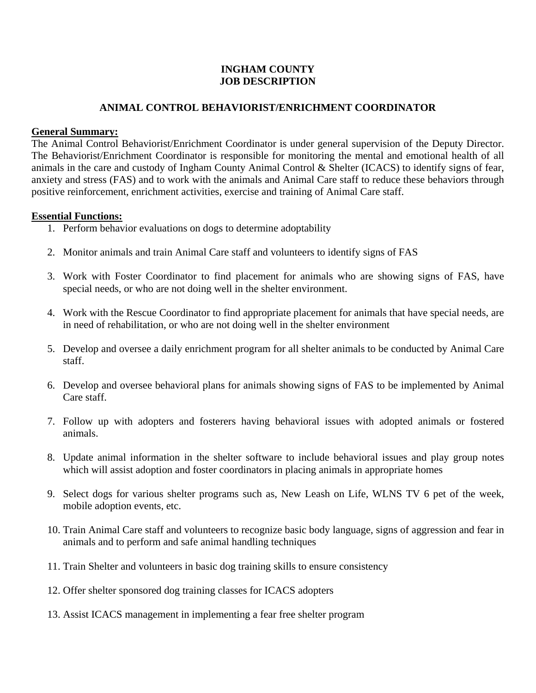### **INGHAM COUNTY JOB DESCRIPTION**

### **ANIMAL CONTROL BEHAVIORIST/ENRICHMENT COORDINATOR**

#### **General Summary:**

The Animal Control Behaviorist/Enrichment Coordinator is under general supervision of the Deputy Director. The Behaviorist/Enrichment Coordinator is responsible for monitoring the mental and emotional health of all animals in the care and custody of Ingham County Animal Control & Shelter (ICACS) to identify signs of fear, anxiety and stress (FAS) and to work with the animals and Animal Care staff to reduce these behaviors through positive reinforcement, enrichment activities, exercise and training of Animal Care staff.

#### **Essential Functions:**

- 1. Perform behavior evaluations on dogs to determine adoptability
- 2. Monitor animals and train Animal Care staff and volunteers to identify signs of FAS
- 3. Work with Foster Coordinator to find placement for animals who are showing signs of FAS, have special needs, or who are not doing well in the shelter environment.
- 4. Work with the Rescue Coordinator to find appropriate placement for animals that have special needs, are in need of rehabilitation, or who are not doing well in the shelter environment
- 5. Develop and oversee a daily enrichment program for all shelter animals to be conducted by Animal Care staff.
- 6. Develop and oversee behavioral plans for animals showing signs of FAS to be implemented by Animal Care staff.
- 7. Follow up with adopters and fosterers having behavioral issues with adopted animals or fostered animals.
- 8. Update animal information in the shelter software to include behavioral issues and play group notes which will assist adoption and foster coordinators in placing animals in appropriate homes
- 9. Select dogs for various shelter programs such as, New Leash on Life, WLNS TV 6 pet of the week, mobile adoption events, etc.
- 10. Train Animal Care staff and volunteers to recognize basic body language, signs of aggression and fear in animals and to perform and safe animal handling techniques
- 11. Train Shelter and volunteers in basic dog training skills to ensure consistency
- 12. Offer shelter sponsored dog training classes for ICACS adopters
- 13. Assist ICACS management in implementing a fear free shelter program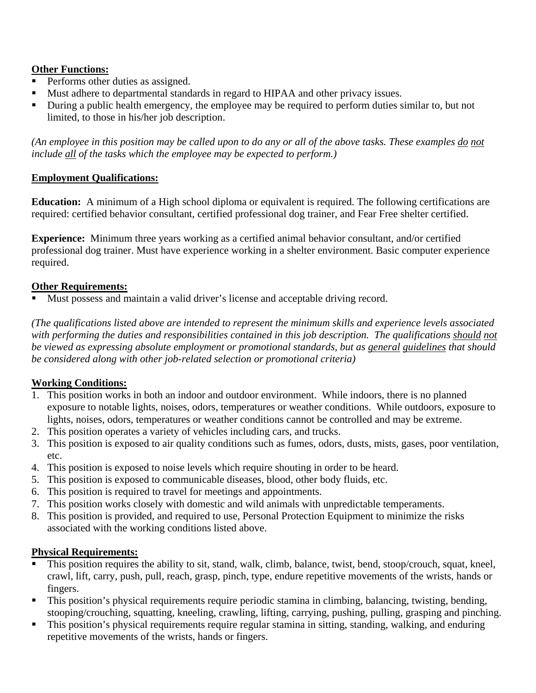# **Other Functions:**

- Performs other duties as assigned.
- Must adhere to departmental standards in regard to HIPAA and other privacy issues.
- During a public health emergency, the employee may be required to perform duties similar to, but not limited, to those in his/her job description.

*(An employee in this position may be called upon to do any or all of the above tasks. These examples do not include all of the tasks which the employee may be expected to perform.)* 

## **Employment Qualifications:**

**Education:** A minimum of a High school diploma or equivalent is required. The following certifications are required: certified behavior consultant, certified professional dog trainer, and Fear Free shelter certified.

**Experience:** Minimum three years working as a certified animal behavior consultant, and/or certified professional dog trainer. Must have experience working in a shelter environment. Basic computer experience required.

## **Other Requirements:**

Must possess and maintain a valid driver's license and acceptable driving record.

*(The qualifications listed above are intended to represent the minimum skills and experience levels associated*  with performing the duties and responsibilities contained in this job description. The qualifications should not *be viewed as expressing absolute employment or promotional standards, but as general guidelines that should be considered along with other job-related selection or promotional criteria)* 

## **Working Conditions:**

- 1. This position works in both an indoor and outdoor environment. While indoors, there is no planned exposure to notable lights, noises, odors, temperatures or weather conditions. While outdoors, exposure to lights, noises, odors, temperatures or weather conditions cannot be controlled and may be extreme.
- 2. This position operates a variety of vehicles including cars, and trucks.
- 3. This position is exposed to air quality conditions such as fumes, odors, dusts, mists, gases, poor ventilation, etc.
- 4. This position is exposed to noise levels which require shouting in order to be heard.
- 5. This position is exposed to communicable diseases, blood, other body fluids, etc.
- 6. This position is required to travel for meetings and appointments.
- 7. This position works closely with domestic and wild animals with unpredictable temperaments.
- 8. This position is provided, and required to use, Personal Protection Equipment to minimize the risks associated with the working conditions listed above.

## **Physical Requirements:**

- This position requires the ability to sit, stand, walk, climb, balance, twist, bend, stoop/crouch, squat, kneel, crawl, lift, carry, push, pull, reach, grasp, pinch, type, endure repetitive movements of the wrists, hands or fingers.
- This position's physical requirements require periodic stamina in climbing, balancing, twisting, bending, stooping/crouching, squatting, kneeling, crawling, lifting, carrying, pushing, pulling, grasping and pinching.
- This position's physical requirements require regular stamina in sitting, standing, walking, and enduring repetitive movements of the wrists, hands or fingers.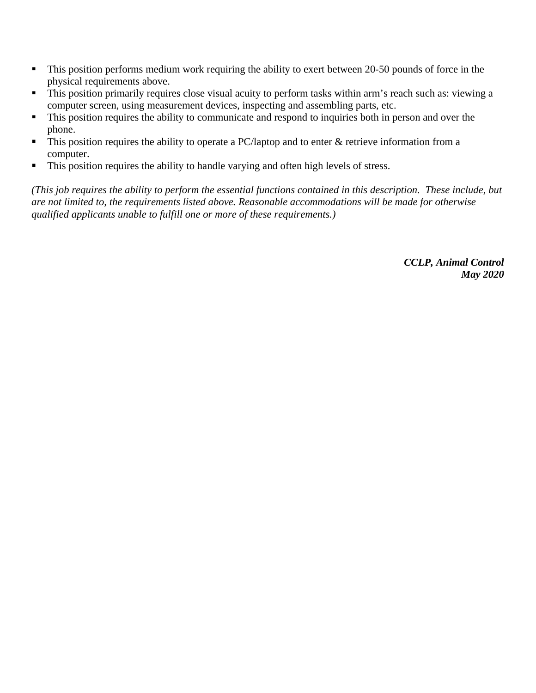- This position performs medium work requiring the ability to exert between 20-50 pounds of force in the physical requirements above.
- This position primarily requires close visual acuity to perform tasks within arm's reach such as: viewing a computer screen, using measurement devices, inspecting and assembling parts, etc.
- $\blacksquare$  This position requires the ability to communicate and respond to inquiries both in person and over the phone.
- $\blacksquare$  This position requires the ability to operate a PC/laptop and to enter  $\&$  retrieve information from a computer.
- This position requires the ability to handle varying and often high levels of stress.

*(This job requires the ability to perform the essential functions contained in this description. These include, but are not limited to, the requirements listed above. Reasonable accommodations will be made for otherwise qualified applicants unable to fulfill one or more of these requirements.)*

> *CCLP, Animal Control May 2020*